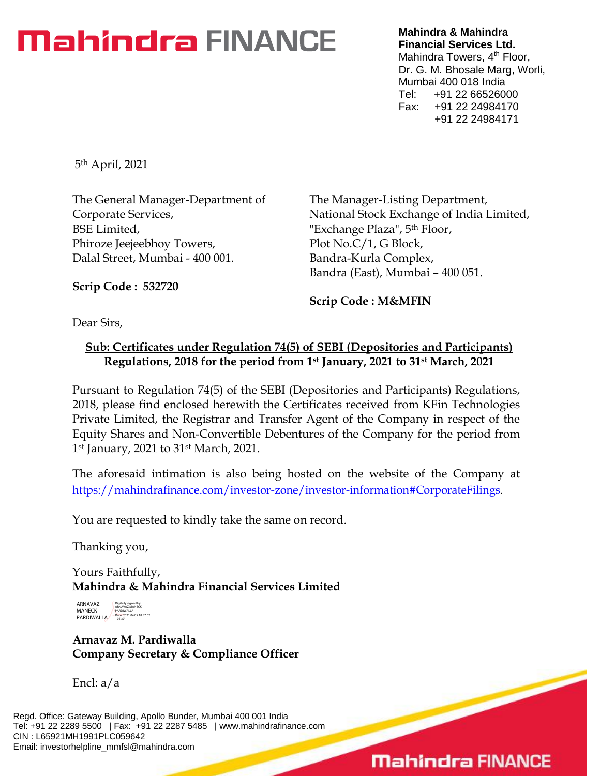# **Mahindra FINANCE**

**Mahindra & Mahindra Financial Services Ltd.** Mahindra Towers, 4<sup>th</sup> Floor, Dr. G. M. Bhosale Marg, Worli, Mumbai 400 018 India Tel: +91 22 66526000 Fax: +91 22 24984170 +91 22 24984171

5th April, 2021

The General Manager-Department of Corporate Services, BSE Limited, Phiroze Jeejeebhoy Towers, Dalal Street, Mumbai - 400 001.

The Manager-Listing Department, National Stock Exchange of India Limited, "Exchange Plaza", 5th Floor, Plot No.C/1, G Block, Bandra-Kurla Complex, Bandra (East), Mumbai – 400 051.

**Scrip Code : 532720**

**Scrip Code : M&MFIN**

Dear Sirs,

## **Sub: Certificates under Regulation 74(5) of SEBI (Depositories and Participants) Regulations, 2018 for the period from 1st January, 2021 to 31st March, 2021**

Pursuant to Regulation 74(5) of the SEBI (Depositories and Participants) Regulations, 2018, please find enclosed herewith the Certificates received from KFin Technologies Private Limited, the Registrar and Transfer Agent of the Company in respect of the Equity Shares and Non-Convertible Debentures of the Company for the period from 1st January, 2021 to 31st March, 2021.

The aforesaid intimation is also being hosted on the website of the Company at [https://mahindrafinance.com/investor-zone/investor-information#CorporateFilings.](https://mahindrafinance.com/investor-zone/investor-information#CorporateFilings)

You are requested to kindly take the same on record.

Thanking you,

Yours Faithfully, **Mahindra & Mahindra Financial Services Limited**

ARNAVAZ MANECK PARDIWALLA Digitally signed by ARNAVAZ MANECK PARDIWALLA Date: 2021.04.05 18:57:02 +05'30'

**Arnavaz M. Pardiwalla Company Secretary & Compliance Officer**

Encl: a/a

Regd. Office: Gateway Building, Apollo Bunder, Mumbai 400 001 India Tel: +91 22 2289 5500 | Fax: +91 22 2287 5485 | www.mahindrafinance.com CIN : L65921MH1991PLC059642 Email: investorhelpline\_mmfsl@mahindra.com

# **Mahindra FINANCE**

 $\overline{\phantom{0}}$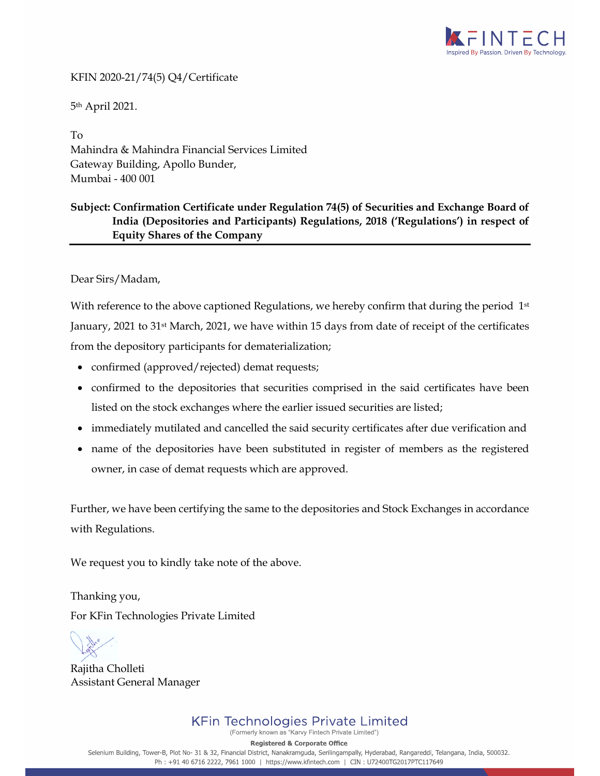

#### KFIN 2020-21/74(5) Q4/Certificate

5th April 2021.

To Mahindra & Mahindra Financial Services Limited Gateway Building, Apollo Bunder, Mumbai - 400 001

### **Subject: Confirmation Certificate under Regulation 74(5) of Securities and Exchange Board of India (Depositories and Participants) Regulations, 2018 ('Regulations') in respect of Equity Shares of the Company**

Dear Sirs/Madam,

With reference to the above captioned Regulations, we hereby confirm that during the period 1<sup>st</sup> January, 2021 to 31st March, 2021, we have within 15 days from date of receipt of the certificates from the depository participants for dematerialization;

- confirmed (approved/rejected) demat requests;
- confirmed to the depositories that securities comprised in the said certificates have been listed on the stock exchanges where the earlier issued securities are listed;
- immediately mutilated and cancelled the said security certificates after due verification and
- name of the depositories have been substituted in register of members as the registered owner, in case of demat requests which are approved.

Further, we have been certifying the same to the depositories and Stock Exchanges in accordance with Regulations.

We request you to kindly take note of the above.

Thanking you, For KFin Technologies Private Limited

Rajitha Cholleti Assistant General Manager

**Registered & Corporate Office** 

Selenium Building, Tower-B, Plot No- 31 & 32, Financial District, Nanakramguda, Serilingampally, Hyderabad, Rangareddi, Telangana, India, 500032. Ph: +91 40 6716 2222, 7961 1000 | https://www.kfintech.com | CIN: U72400TG2017PTC117649